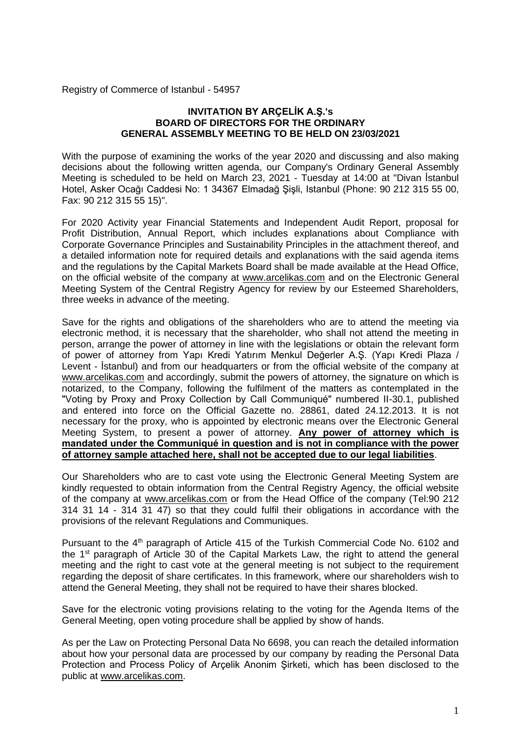Registry of Commerce of Istanbul - 54957

#### **INVITATION BY ARÇELİK A.Ş.'s BOARD OF DIRECTORS FOR THE ORDINARY GENERAL ASSEMBLY MEETING TO BE HELD ON 23/03/2021**

With the purpose of examining the works of the year 2020 and discussing and also making decisions about the following written agenda, our Company's Ordinary General Assembly Meeting is scheduled to be held on March 23, 2021 - Tuesday at 14:00 at "Divan İstanbul Hotel, Asker Ocağı Caddesi No: 1 34367 Elmadağ Şişli, Istanbul (Phone: 90 212 315 55 00, Fax: 90 212 315 55 15)".

For 2020 Activity year Financial Statements and Independent Audit Report, proposal for Profit Distribution, Annual Report, which includes explanations about Compliance with Corporate Governance Principles and Sustainability Principles in the attachment thereof, and a detailed information note for required details and explanations with the said agenda items and the regulations by the Capital Markets Board shall be made available at the Head Office, on the official website of the company at www.arcelikas.com and on the Electronic General Meeting System of the Central Registry Agency for review by our Esteemed Shareholders, three weeks in advance of the meeting.

Save for the rights and obligations of the shareholders who are to attend the meeting via electronic method, it is necessary that the shareholder, who shall not attend the meeting in person, arrange the power of attorney in line with the legislations or obtain the relevant form of power of attorney from Yapı Kredi Yatırım Menkul Değerler A.Ş. (Yapı Kredi Plaza / Levent - İstanbul) and from our headquarters or from the official website of the company at www.arcelikas.com and accordingly, submit the powers of attorney, the signature on which is notarized, to the Company, following the fulfilment of the matters as contemplated in the "Voting by Proxy and Proxy Collection by Call Communiqué" numbered II-30.1, published and entered into force on the Official Gazette no. 28861, dated 24.12.2013. It is not necessary for the proxy, who is appointed by electronic means over the Electronic General Meeting System, to present a power of attorney. **Any power of attorney which is mandated under the Communiqué in question and is not in compliance with the power of attorney sample attached here, shall not be accepted due to our legal liabilities**.

Our Shareholders who are to cast vote using the Electronic General Meeting System are kindly requested to obtain information from the Central Registry Agency, the official website of the company at www.arcelikas.com or from the Head Office of the company (Tel:90 212 314 31 14 - 314 31 47) so that they could fulfil their obligations in accordance with the provisions of the relevant Regulations and Communiques.

Pursuant to the 4<sup>th</sup> paragraph of Article 415 of the Turkish Commercial Code No. 6102 and the 1st paragraph of Article 30 of the Capital Markets Law, the right to attend the general meeting and the right to cast vote at the general meeting is not subject to the requirement regarding the deposit of share certificates. In this framework, where our shareholders wish to attend the General Meeting, they shall not be required to have their shares blocked.

Save for the electronic voting provisions relating to the voting for the Agenda Items of the General Meeting, open voting procedure shall be applied by show of hands.

As per the Law on Protecting Personal Data No 6698, you can reach the detailed information about how your personal data are processed by our company by reading the Personal Data Protection and Process Policy of Arçelik Anonim Şirketi, which has been disclosed to the public at www.arcelikas.com.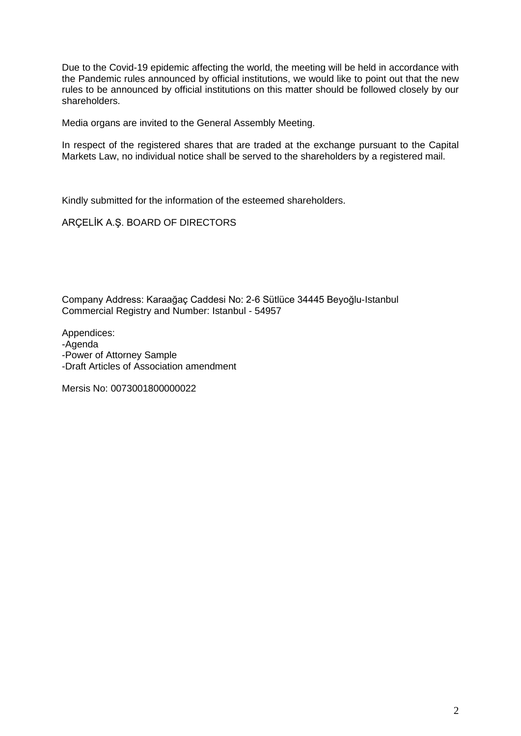Due to the Covid-19 epidemic affecting the world, the meeting will be held in accordance with the Pandemic rules announced by official institutions, we would like to point out that the new rules to be announced by official institutions on this matter should be followed closely by our shareholders.

Media organs are invited to the General Assembly Meeting.

In respect of the registered shares that are traded at the exchange pursuant to the Capital Markets Law, no individual notice shall be served to the shareholders by a registered mail.

Kindly submitted for the information of the esteemed shareholders.

ARÇELİK A.Ş. BOARD OF DIRECTORS

Company Address: Karaağaç Caddesi No: 2-6 Sütlüce 34445 Beyoğlu-Istanbul Commercial Registry and Number: Istanbul - 54957

Appendices:

-Agenda

-Power of Attorney Sample

-Draft Articles of Association amendment

Mersis No: 0073001800000022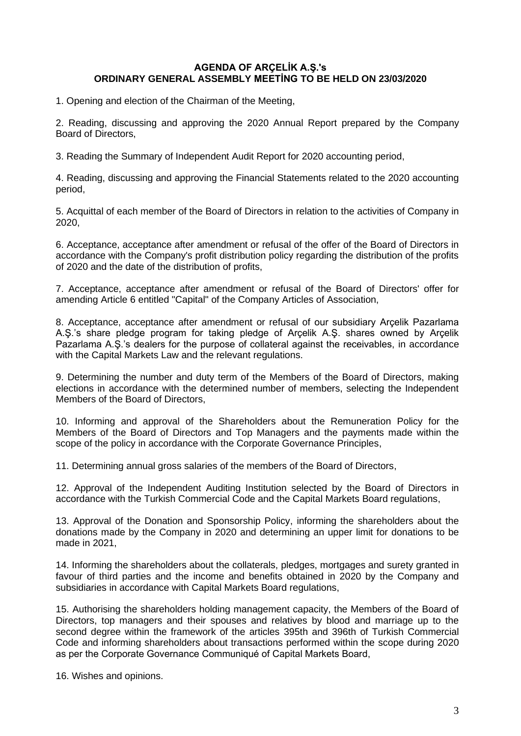## **AGENDA OF ARÇELİK A.Ş.'s ORDINARY GENERAL ASSEMBLY MEETİNG TO BE HELD ON 23/03/2020**

1. Opening and election of the Chairman of the Meeting,

2. Reading, discussing and approving the 2020 Annual Report prepared by the Company Board of Directors,

3. Reading the Summary of Independent Audit Report for 2020 accounting period,

4. Reading, discussing and approving the Financial Statements related to the 2020 accounting period,

5. Acquittal of each member of the Board of Directors in relation to the activities of Company in 2020,

6. Acceptance, acceptance after amendment or refusal of the offer of the Board of Directors in accordance with the Company's profit distribution policy regarding the distribution of the profits of 2020 and the date of the distribution of profits,

7. Acceptance, acceptance after amendment or refusal of the Board of Directors' offer for amending Article 6 entitled "Capital" of the Company Articles of Association,

8. Acceptance, acceptance after amendment or refusal of our subsidiary Arçelik Pazarlama A.Ş.'s share pledge program for taking pledge of Arçelik A.Ş. shares owned by Arçelik Pazarlama A.Ş.'s dealers for the purpose of collateral against the receivables, in accordance with the Capital Markets Law and the relevant regulations.

9. Determining the number and duty term of the Members of the Board of Directors, making elections in accordance with the determined number of members, selecting the Independent Members of the Board of Directors,

10. Informing and approval of the Shareholders about the Remuneration Policy for the Members of the Board of Directors and Top Managers and the payments made within the scope of the policy in accordance with the Corporate Governance Principles,

11. Determining annual gross salaries of the members of the Board of Directors,

12. Approval of the Independent Auditing Institution selected by the Board of Directors in accordance with the Turkish Commercial Code and the Capital Markets Board regulations,

13. Approval of the Donation and Sponsorship Policy, informing the shareholders about the donations made by the Company in 2020 and determining an upper limit for donations to be made in 2021,

14. Informing the shareholders about the collaterals, pledges, mortgages and surety granted in favour of third parties and the income and benefits obtained in 2020 by the Company and subsidiaries in accordance with Capital Markets Board regulations,

15. Authorising the shareholders holding management capacity, the Members of the Board of Directors, top managers and their spouses and relatives by blood and marriage up to the second degree within the framework of the articles 395th and 396th of Turkish Commercial Code and informing shareholders about transactions performed within the scope during 2020 as per the Corporate Governance Communiqué of Capital Markets Board,

16. Wishes and opinions.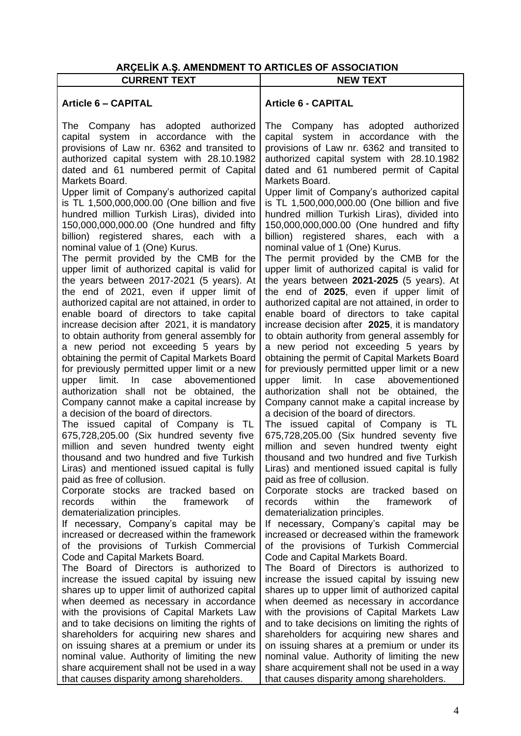# **ARÇELİK A.Ş. AMENDMENT TO ARTICLES OF ASSOCIATION**

| ANGELIN A.G. AMENDMENT TO ANTIGLES OF ASSOCIATION<br><b>CURRENT TEXT</b>                                                                                                                                                                                                                                                                                                                                                                                                                                                                                                                                                                                                                                                                                                                                                                                                                                                                                                                                                                                                                                                                                                                                                                                                                                                                                                                                                                                                                                                                     | <b>NEW TEXT</b>                                                                                                                                                                                                                                                                                                                                                                                                                                                                                                                                                                                                                                                                                                                                                                                                                                                                                                                                                                                                                                                                                                                                                                                                                                                                                                                                                                                                                                                                                                                                   |
|----------------------------------------------------------------------------------------------------------------------------------------------------------------------------------------------------------------------------------------------------------------------------------------------------------------------------------------------------------------------------------------------------------------------------------------------------------------------------------------------------------------------------------------------------------------------------------------------------------------------------------------------------------------------------------------------------------------------------------------------------------------------------------------------------------------------------------------------------------------------------------------------------------------------------------------------------------------------------------------------------------------------------------------------------------------------------------------------------------------------------------------------------------------------------------------------------------------------------------------------------------------------------------------------------------------------------------------------------------------------------------------------------------------------------------------------------------------------------------------------------------------------------------------------|---------------------------------------------------------------------------------------------------------------------------------------------------------------------------------------------------------------------------------------------------------------------------------------------------------------------------------------------------------------------------------------------------------------------------------------------------------------------------------------------------------------------------------------------------------------------------------------------------------------------------------------------------------------------------------------------------------------------------------------------------------------------------------------------------------------------------------------------------------------------------------------------------------------------------------------------------------------------------------------------------------------------------------------------------------------------------------------------------------------------------------------------------------------------------------------------------------------------------------------------------------------------------------------------------------------------------------------------------------------------------------------------------------------------------------------------------------------------------------------------------------------------------------------------------|
|                                                                                                                                                                                                                                                                                                                                                                                                                                                                                                                                                                                                                                                                                                                                                                                                                                                                                                                                                                                                                                                                                                                                                                                                                                                                                                                                                                                                                                                                                                                                              |                                                                                                                                                                                                                                                                                                                                                                                                                                                                                                                                                                                                                                                                                                                                                                                                                                                                                                                                                                                                                                                                                                                                                                                                                                                                                                                                                                                                                                                                                                                                                   |
| <b>Article 6 - CAPITAL</b>                                                                                                                                                                                                                                                                                                                                                                                                                                                                                                                                                                                                                                                                                                                                                                                                                                                                                                                                                                                                                                                                                                                                                                                                                                                                                                                                                                                                                                                                                                                   | <b>Article 6 - CAPITAL</b>                                                                                                                                                                                                                                                                                                                                                                                                                                                                                                                                                                                                                                                                                                                                                                                                                                                                                                                                                                                                                                                                                                                                                                                                                                                                                                                                                                                                                                                                                                                        |
| The Company has adopted authorized<br>capital system in accordance with the<br>provisions of Law nr. 6362 and transited to<br>authorized capital system with 28.10.1982<br>dated and 61 numbered permit of Capital<br>Markets Board.<br>Upper limit of Company's authorized capital<br>is TL 1,500,000,000.00 (One billion and five<br>hundred million Turkish Liras), divided into<br>150,000,000,000.00 (One hundred and fifty<br>billion) registered shares, each with<br>- a<br>nominal value of 1 (One) Kurus.<br>The permit provided by the CMB for the<br>upper limit of authorized capital is valid for<br>the years between 2017-2021 (5 years). At<br>the end of 2021, even if upper limit of<br>authorized capital are not attained, in order to<br>enable board of directors to take capital<br>increase decision after 2021, it is mandatory<br>to obtain authority from general assembly for<br>a new period not exceeding 5 years by<br>obtaining the permit of Capital Markets Board<br>for previously permitted upper limit or a new<br>case abovementioned<br>upper<br>limit.<br>In.<br>authorization shall not be obtained, the<br>Company cannot make a capital increase by<br>a decision of the board of directors.<br>The issued capital of Company is TL<br>675,728,205.00 (Six hundred seventy five<br>million and seven hundred twenty eight<br>thousand and two hundred and five Turkish<br>Liras) and mentioned issued capital is fully<br>paid as free of collusion.<br>Corporate stocks are tracked based<br>on | The Company has adopted authorized<br>capital system in accordance with the<br>provisions of Law nr. 6362 and transited to<br>authorized capital system with 28.10.1982<br>dated and 61 numbered permit of Capital<br>Markets Board.<br>Upper limit of Company's authorized capital<br>is TL 1,500,000,000.00 (One billion and five<br>hundred million Turkish Liras), divided into<br>150,000,000,000.00 (One hundred and fifty<br>billion) registered shares, each<br>with<br>- a<br>nominal value of 1 (One) Kurus.<br>The permit provided by the CMB for the<br>upper limit of authorized capital is valid for<br>the years between 2021-2025 (5 years). At<br>the end of 2025, even if upper limit of<br>authorized capital are not attained, in order to<br>enable board of directors to take capital<br>increase decision after 2025, it is mandatory<br>to obtain authority from general assembly for<br>a new period not exceeding 5 years by<br>obtaining the permit of Capital Markets Board<br>for previously permitted upper limit or a new<br>In In<br>case abovementioned<br>upper<br>limit.<br>authorization shall not be obtained, the<br>Company cannot make a capital increase by<br>a decision of the board of directors.<br>The issued capital of Company is TL<br>675,728,205.00 (Six hundred seventy five<br>million and seven hundred twenty eight<br>thousand and two hundred and five Turkish<br>Liras) and mentioned issued capital is fully<br>paid as free of collusion.<br>Corporate stocks are tracked based<br>on |
| within<br>records<br>the<br>framework<br>οf<br>dematerialization principles.<br>If necessary, Company's capital may be<br>increased or decreased within the framework<br>of the provisions of Turkish Commercial                                                                                                                                                                                                                                                                                                                                                                                                                                                                                                                                                                                                                                                                                                                                                                                                                                                                                                                                                                                                                                                                                                                                                                                                                                                                                                                             | within<br>records<br>the<br>framework<br>of<br>dematerialization principles.<br>If necessary, Company's capital may be<br>increased or decreased within the framework<br>of the provisions of Turkish Commercial                                                                                                                                                                                                                                                                                                                                                                                                                                                                                                                                                                                                                                                                                                                                                                                                                                                                                                                                                                                                                                                                                                                                                                                                                                                                                                                                  |
| Code and Capital Markets Board.<br>The Board of Directors is authorized to<br>increase the issued capital by issuing new<br>shares up to upper limit of authorized capital<br>when deemed as necessary in accordance<br>with the provisions of Capital Markets Law<br>and to take decisions on limiting the rights of<br>shareholders for acquiring new shares and<br>on issuing shares at a premium or under its<br>nominal value. Authority of limiting the new<br>share acquirement shall not be used in a way<br>that causes disparity among shareholders.                                                                                                                                                                                                                                                                                                                                                                                                                                                                                                                                                                                                                                                                                                                                                                                                                                                                                                                                                                               | Code and Capital Markets Board.<br>The Board of Directors is authorized to<br>increase the issued capital by issuing new<br>shares up to upper limit of authorized capital<br>when deemed as necessary in accordance<br>with the provisions of Capital Markets Law<br>and to take decisions on limiting the rights of<br>shareholders for acquiring new shares and<br>on issuing shares at a premium or under its<br>nominal value. Authority of limiting the new<br>share acquirement shall not be used in a way<br>that causes disparity among shareholders.                                                                                                                                                                                                                                                                                                                                                                                                                                                                                                                                                                                                                                                                                                                                                                                                                                                                                                                                                                                    |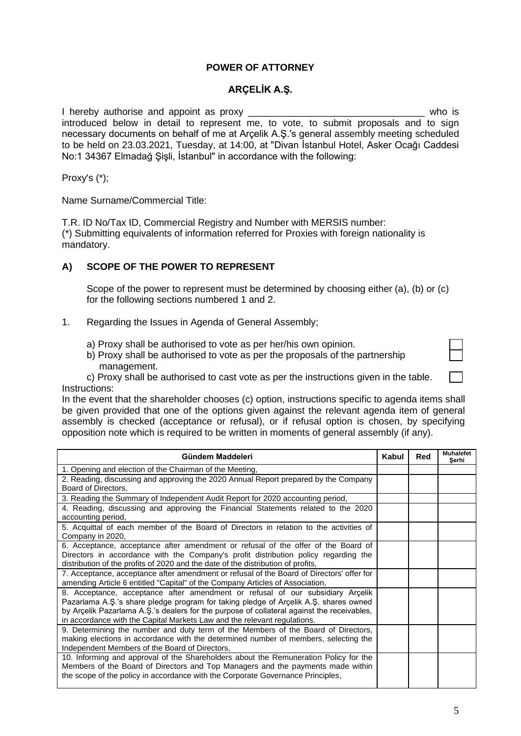## **POWER OF ATTORNEY**

## **ARÇELİK A.Ş.**

I hereby authorise and appoint as proxy \_\_\_\_\_\_\_\_\_\_\_\_\_\_\_\_\_\_\_\_\_\_\_\_\_\_\_\_\_\_\_\_\_ who is introduced below in detail to represent me, to vote, to submit proposals and to sign necessary documents on behalf of me at Arçelik A.Ş.'s general assembly meeting scheduled to be held on 23.03.2021, Tuesday, at 14:00, at "Divan İstanbul Hotel, Asker Ocağı Caddesi No:1 34367 Elmadağ Şişli, İstanbul" in accordance with the following:

Proxy's (\*);

Name Surname/Commercial Title:

T.R. ID No/Tax ID, Commercial Registry and Number with MERSIS number: (\*) Submitting equivalents of information referred for Proxies with foreign nationality is mandatory.

## **A) SCOPE OF THE POWER TO REPRESENT**

Scope of the power to represent must be determined by choosing either (a), (b) or (c) for the following sections numbered 1 and 2.

- 1. Regarding the Issues in Agenda of General Assembly;
	- a) Proxy shall be authorised to vote as per her/his own opinion.
	- b) Proxy shall be authorised to vote as per the proposals of the partnership management.

| c) Proxy shall be authorised to cast vote as per the instructions given in the table. |  |
|---------------------------------------------------------------------------------------|--|
| Instructions:                                                                         |  |

In the event that the shareholder chooses (c) option, instructions specific to agenda items shall be given provided that one of the options given against the relevant agenda item of general assembly is checked (acceptance or refusal), or if refusal option is chosen, by specifying opposition note which is required to be written in moments of general assembly (if any).

| Gündem Maddeleri                                                                                                                                                                                                                                                                                                                                 |  | Red | <b>Muhalefet</b><br>Serhi |
|--------------------------------------------------------------------------------------------------------------------------------------------------------------------------------------------------------------------------------------------------------------------------------------------------------------------------------------------------|--|-----|---------------------------|
| 1. Opening and election of the Chairman of the Meeting,                                                                                                                                                                                                                                                                                          |  |     |                           |
| 2. Reading, discussing and approving the 2020 Annual Report prepared by the Company<br>Board of Directors,                                                                                                                                                                                                                                       |  |     |                           |
| 3. Reading the Summary of Independent Audit Report for 2020 accounting period,                                                                                                                                                                                                                                                                   |  |     |                           |
| 4. Reading, discussing and approving the Financial Statements related to the 2020<br>accounting period,                                                                                                                                                                                                                                          |  |     |                           |
| 5. Acquittal of each member of the Board of Directors in relation to the activities of<br>Company in 2020,                                                                                                                                                                                                                                       |  |     |                           |
| 6. Acceptance, acceptance after amendment or refusal of the offer of the Board of<br>Directors in accordance with the Company's profit distribution policy regarding the<br>distribution of the profits of 2020 and the date of the distribution of profits,                                                                                     |  |     |                           |
| 7. Acceptance, acceptance after amendment or refusal of the Board of Directors' offer for<br>amending Article 6 entitled "Capital" of the Company Articles of Association,                                                                                                                                                                       |  |     |                           |
| 8. Acceptance, acceptance after amendment or refusal of our subsidiary Arcelik<br>Pazarlama A.Ş.'s share pledge program for taking pledge of Arçelik A.Ş. shares owned<br>by Arçelik Pazarlama A.Ş.'s dealers for the purpose of collateral against the receivables,<br>in accordance with the Capital Markets Law and the relevant regulations. |  |     |                           |
| 9. Determining the number and duty term of the Members of the Board of Directors,<br>making elections in accordance with the determined number of members, selecting the<br>Independent Members of the Board of Directors,                                                                                                                       |  |     |                           |
| 10. Informing and approval of the Shareholders about the Remuneration Policy for the<br>Members of the Board of Directors and Top Managers and the payments made within<br>the scope of the policy in accordance with the Corporate Governance Principles,                                                                                       |  |     |                           |